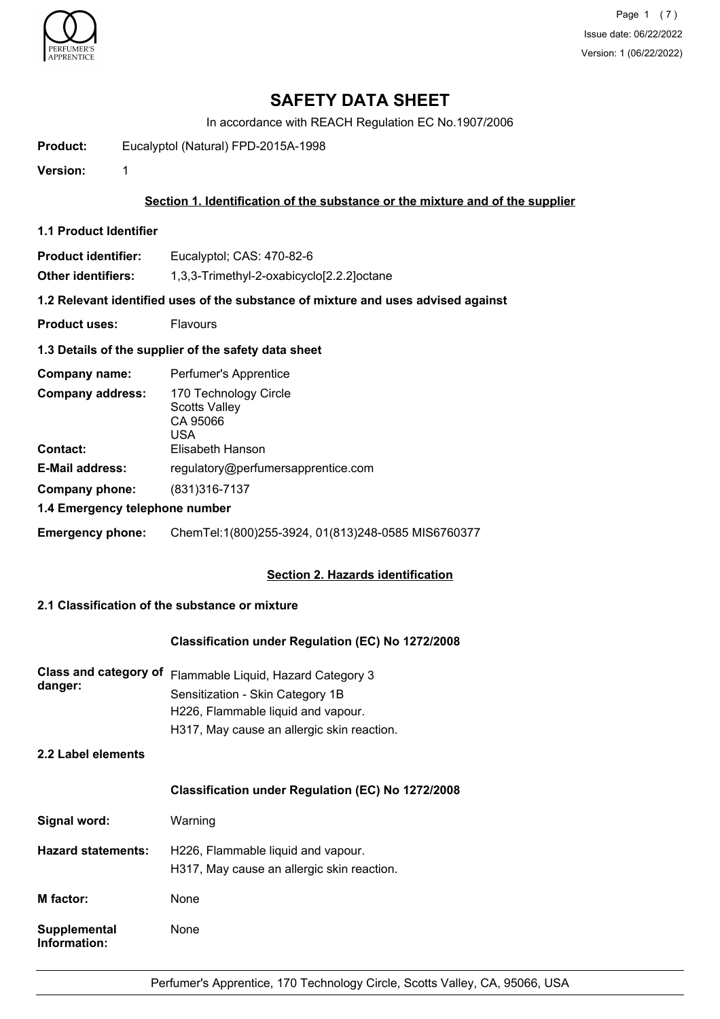

Page 1 (7) Issue date: 06/22/2022 Version: 1 (06/22/2022)

# **SAFETY DATA SHEET**

In accordance with REACH Regulation EC No.1907/2006

**Product:** Eucalyptol (Natural) FPD-2015A-1998

**Version:** 1

### **Section 1. Identification of the substance or the mixture and of the supplier**

**1.1 Product Identifier**

**Product identifier:** Eucalyptol; CAS: 470-82-6

**Other identifiers:** 1,3,3-Trimethyl-2-oxabicyclo[2.2.2]octane

**1.2 Relevant identified uses of the substance of mixture and uses advised against**

- **Product uses:** Flavours
- **1.3 Details of the supplier of the safety data sheet**

| Company name:                       | Perfumer's Apprentice                                                                |
|-------------------------------------|--------------------------------------------------------------------------------------|
| <b>Company address:</b><br>Contact: | 170 Technology Circle<br><b>Scotts Valley</b><br>CA 95066<br>USA<br>Elisabeth Hanson |
| <b>E-Mail address:</b>              | regulatory@perfumersapprentice.com                                                   |
| Company phone:                      | (831) 316-7137                                                                       |
| 1.4 Emergency telephone number      |                                                                                      |
| <b>Emergency phone:</b>             | ChemTel:1(800)255-3924, 01(813)248-0585 MIS6760377                                   |

## **Section 2. Hazards identification**

# **2.1 Classification of the substance or mixture**

### **Classification under Regulation (EC) No 1272/2008**

| danger: | Class and category of Flammable Liquid, Hazard Category 3 |
|---------|-----------------------------------------------------------|
|         | Sensitization - Skin Category 1B                          |
|         | H226, Flammable liquid and vapour.                        |
|         | H317, May cause an allergic skin reaction.                |

## **2.2 Label elements**

### **Classification under Regulation (EC) No 1272/2008**

| Signal word:                 | Warning                                                                          |
|------------------------------|----------------------------------------------------------------------------------|
| <b>Hazard statements:</b>    | H226, Flammable liquid and vapour.<br>H317, May cause an allergic skin reaction. |
| M factor:                    | None                                                                             |
| Supplemental<br>Information: | None                                                                             |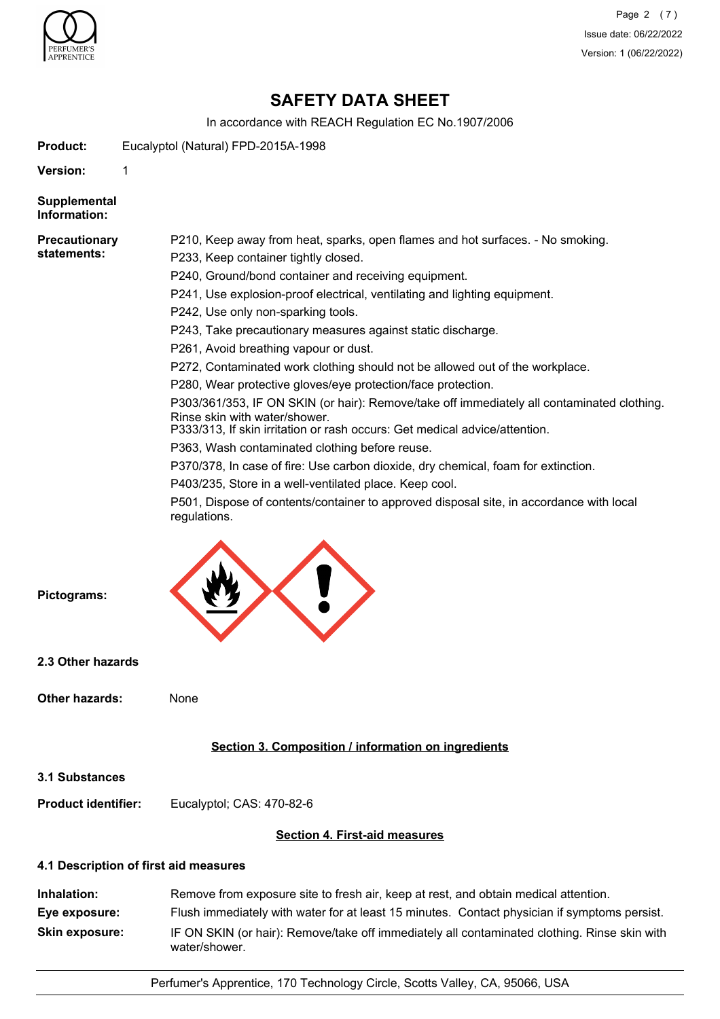

Page 2 (7) Issue date: 06/22/2022 Version: 1 (06/22/2022)

# **SAFETY DATA SHEET**

In accordance with REACH Regulation EC No.1907/2006

**Product:** Eucalyptol (Natural) FPD-2015A-1998

**Version:** 1

**Supplemental Information:**

#### **Precautionary statements:**

P210, Keep away from heat, sparks, open flames and hot surfaces. - No smoking.

P233, Keep container tightly closed.

P240, Ground/bond container and receiving equipment.

P241, Use explosion-proof electrical, ventilating and lighting equipment.

- P242, Use only non-sparking tools.
- P243, Take precautionary measures against static discharge.
- P261, Avoid breathing vapour or dust.
- P272, Contaminated work clothing should not be allowed out of the workplace.

P280, Wear protective gloves/eye protection/face protection.

P303/361/353, IF ON SKIN (or hair): Remove/take off immediately all contaminated clothing. Rinse skin with water/shower.

P333/313, If skin irritation or rash occurs: Get medical advice/attention.

P363, Wash contaminated clothing before reuse.

P370/378, In case of fire: Use carbon dioxide, dry chemical, foam for extinction.

P403/235, Store in a well-ventilated place. Keep cool.

P501, Dispose of contents/container to approved disposal site, in accordance with local regulations.



**2.3 Other hazards**

**Pictograms:**

| Other hazards: | None |
|----------------|------|
|                |      |

## **Section 3. Composition / information on ingredients**

**3.1 Substances**

**Product identifier:** Eucalyptol; CAS: 470-82-6

## **Section 4. First-aid measures**

## **4.1 Description of first aid measures**

**Inhalation:** Remove from exposure site to fresh air, keep at rest, and obtain medical attention. **Eye exposure:** Flush immediately with water for at least 15 minutes. Contact physician if symptoms persist. **Skin exposure:** IF ON SKIN (or hair): Remove/take off immediately all contaminated clothing. Rinse skin with water/shower.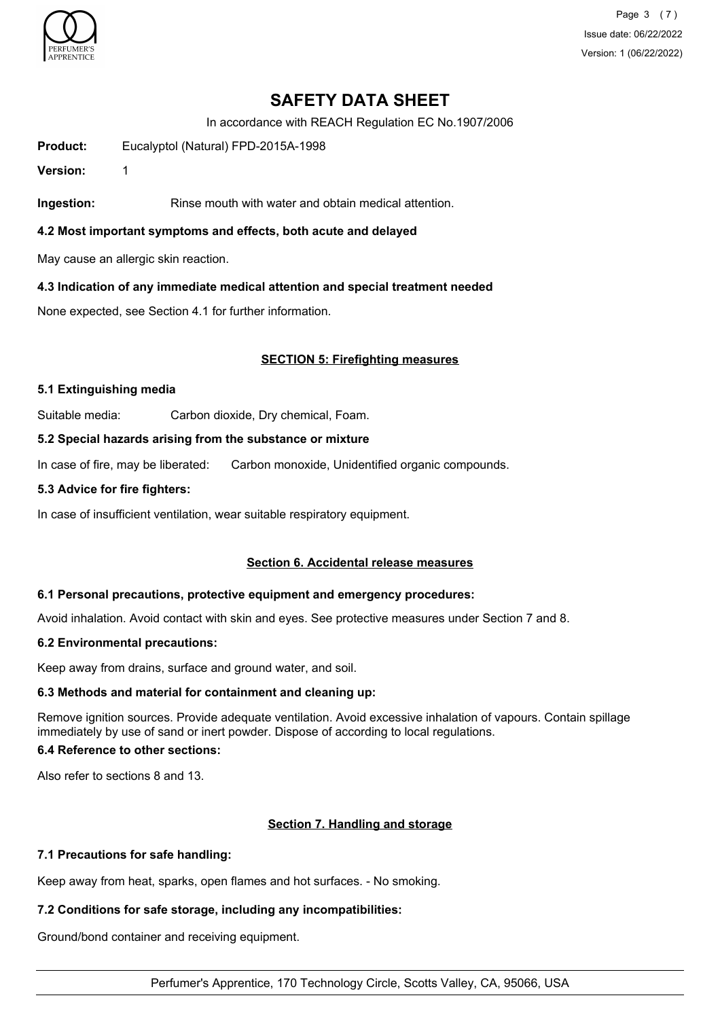

Page 3 (7) Issue date: 06/22/2022 Version: 1 (06/22/2022)

# **SAFETY DATA SHEET**

In accordance with REACH Regulation EC No.1907/2006

**Product:** Eucalyptol (Natural) FPD-2015A-1998

**Version:** 1

**Ingestion:** Rinse mouth with water and obtain medical attention.

**4.2 Most important symptoms and effects, both acute and delayed**

May cause an allergic skin reaction.

**4.3 Indication of any immediate medical attention and special treatment needed**

None expected, see Section 4.1 for further information.

## **SECTION 5: Firefighting measures**

### **5.1 Extinguishing media**

Suitable media: Carbon dioxide, Dry chemical, Foam.

#### **5.2 Special hazards arising from the substance or mixture**

In case of fire, may be liberated: Carbon monoxide, Unidentified organic compounds.

#### **5.3 Advice for fire fighters:**

In case of insufficient ventilation, wear suitable respiratory equipment.

## **Section 6. Accidental release measures**

#### **6.1 Personal precautions, protective equipment and emergency procedures:**

Avoid inhalation. Avoid contact with skin and eyes. See protective measures under Section 7 and 8.

## **6.2 Environmental precautions:**

Keep away from drains, surface and ground water, and soil.

## **6.3 Methods and material for containment and cleaning up:**

Remove ignition sources. Provide adequate ventilation. Avoid excessive inhalation of vapours. Contain spillage immediately by use of sand or inert powder. Dispose of according to local regulations.

## **6.4 Reference to other sections:**

Also refer to sections 8 and 13.

## **Section 7. Handling and storage**

## **7.1 Precautions for safe handling:**

Keep away from heat, sparks, open flames and hot surfaces. - No smoking.

## **7.2 Conditions for safe storage, including any incompatibilities:**

Ground/bond container and receiving equipment.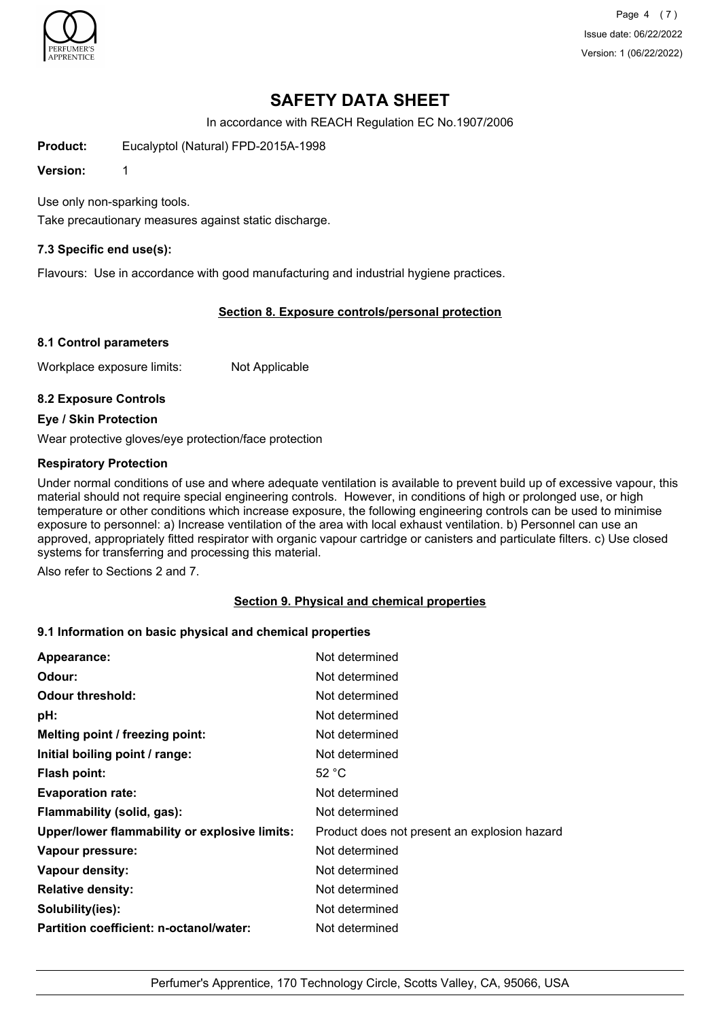

Page 4 (7) Issue date: 06/22/2022 Version: 1 (06/22/2022)

# **SAFETY DATA SHEET**

In accordance with REACH Regulation EC No.1907/2006

**Product:** Eucalyptol (Natural) FPD-2015A-1998

**Version:** 1

Use only non-sparking tools.

Take precautionary measures against static discharge.

## **7.3 Specific end use(s):**

Flavours: Use in accordance with good manufacturing and industrial hygiene practices.

## **Section 8. Exposure controls/personal protection**

## **8.1 Control parameters**

Workplace exposure limits: Not Applicable

## **8.2 Exposure Controls**

#### **Eye / Skin Protection**

Wear protective gloves/eye protection/face protection

## **Respiratory Protection**

Under normal conditions of use and where adequate ventilation is available to prevent build up of excessive vapour, this material should not require special engineering controls. However, in conditions of high or prolonged use, or high temperature or other conditions which increase exposure, the following engineering controls can be used to minimise exposure to personnel: a) Increase ventilation of the area with local exhaust ventilation. b) Personnel can use an approved, appropriately fitted respirator with organic vapour cartridge or canisters and particulate filters. c) Use closed systems for transferring and processing this material.

Also refer to Sections 2 and 7.

## **Section 9. Physical and chemical properties**

## **9.1 Information on basic physical and chemical properties**

| Appearance:                                   | Not determined                               |
|-----------------------------------------------|----------------------------------------------|
| Odour:                                        | Not determined                               |
| <b>Odour threshold:</b>                       | Not determined                               |
| pH:                                           | Not determined                               |
| Melting point / freezing point:               | Not determined                               |
| Initial boiling point / range:                | Not determined                               |
| Flash point:                                  | 52 °C                                        |
| <b>Evaporation rate:</b>                      | Not determined                               |
| Flammability (solid, gas):                    | Not determined                               |
| Upper/lower flammability or explosive limits: | Product does not present an explosion hazard |
| Vapour pressure:                              | Not determined                               |
| Vapour density:                               | Not determined                               |
| <b>Relative density:</b>                      | Not determined                               |
| Solubility(ies):                              | Not determined                               |
| Partition coefficient: n-octanol/water:       | Not determined                               |
|                                               |                                              |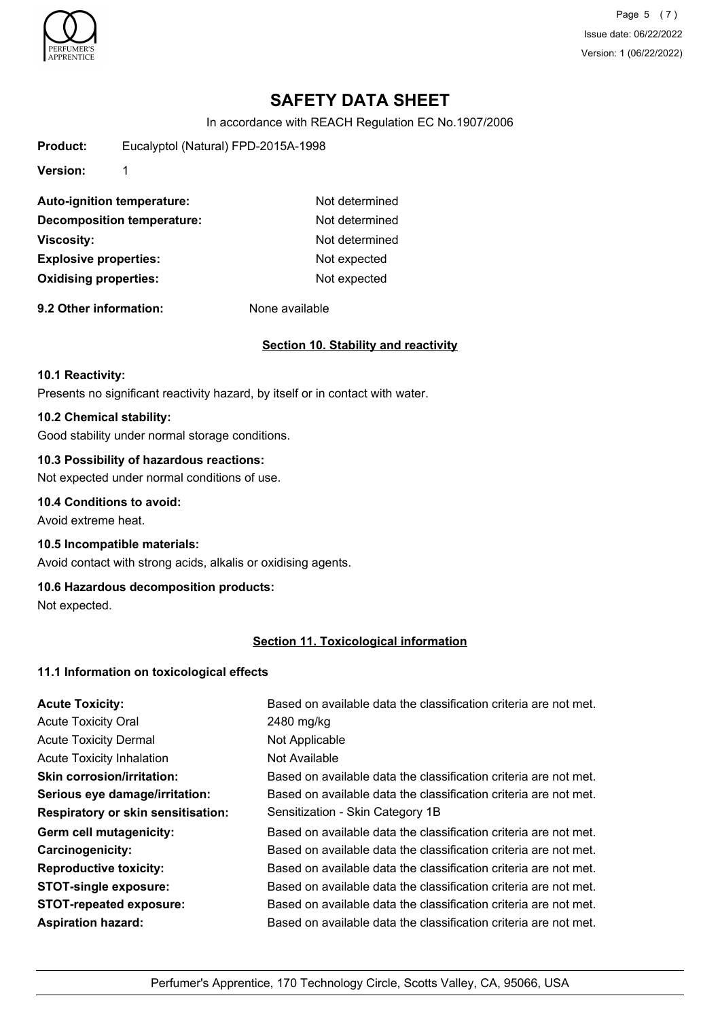

Page 5 (7) Issue date: 06/22/2022 Version: 1 (06/22/2022)

# **SAFETY DATA SHEET**

In accordance with REACH Regulation EC No.1907/2006

**Product:** Eucalyptol (Natural) FPD-2015A-1998

**Version:** 1

| Not determined |
|----------------|
| Not determined |
| Not determined |
| Not expected   |
| Not expected   |
|                |

**9.2 Other information:** None available

## **Section 10. Stability and reactivity**

#### **10.1 Reactivity:**

Presents no significant reactivity hazard, by itself or in contact with water.

### **10.2 Chemical stability:**

Good stability under normal storage conditions.

## **10.3 Possibility of hazardous reactions:**

Not expected under normal conditions of use.

## **10.4 Conditions to avoid:**

Avoid extreme heat.

### **10.5 Incompatible materials:**

Avoid contact with strong acids, alkalis or oxidising agents.

## **10.6 Hazardous decomposition products:**

Not expected.

## **Section 11. Toxicological information**

## **11.1 Information on toxicological effects**

| <b>Acute Toxicity:</b>                    | Based on available data the classification criteria are not met. |
|-------------------------------------------|------------------------------------------------------------------|
| <b>Acute Toxicity Oral</b>                | 2480 mg/kg                                                       |
| <b>Acute Toxicity Dermal</b>              | Not Applicable                                                   |
| <b>Acute Toxicity Inhalation</b>          | Not Available                                                    |
| <b>Skin corrosion/irritation:</b>         | Based on available data the classification criteria are not met. |
| Serious eye damage/irritation:            | Based on available data the classification criteria are not met. |
| <b>Respiratory or skin sensitisation:</b> | Sensitization - Skin Category 1B                                 |
| Germ cell mutagenicity:                   | Based on available data the classification criteria are not met. |
| <b>Carcinogenicity:</b>                   | Based on available data the classification criteria are not met. |
| <b>Reproductive toxicity:</b>             | Based on available data the classification criteria are not met. |
| <b>STOT-single exposure:</b>              | Based on available data the classification criteria are not met. |
| <b>STOT-repeated exposure:</b>            | Based on available data the classification criteria are not met. |
| <b>Aspiration hazard:</b>                 | Based on available data the classification criteria are not met. |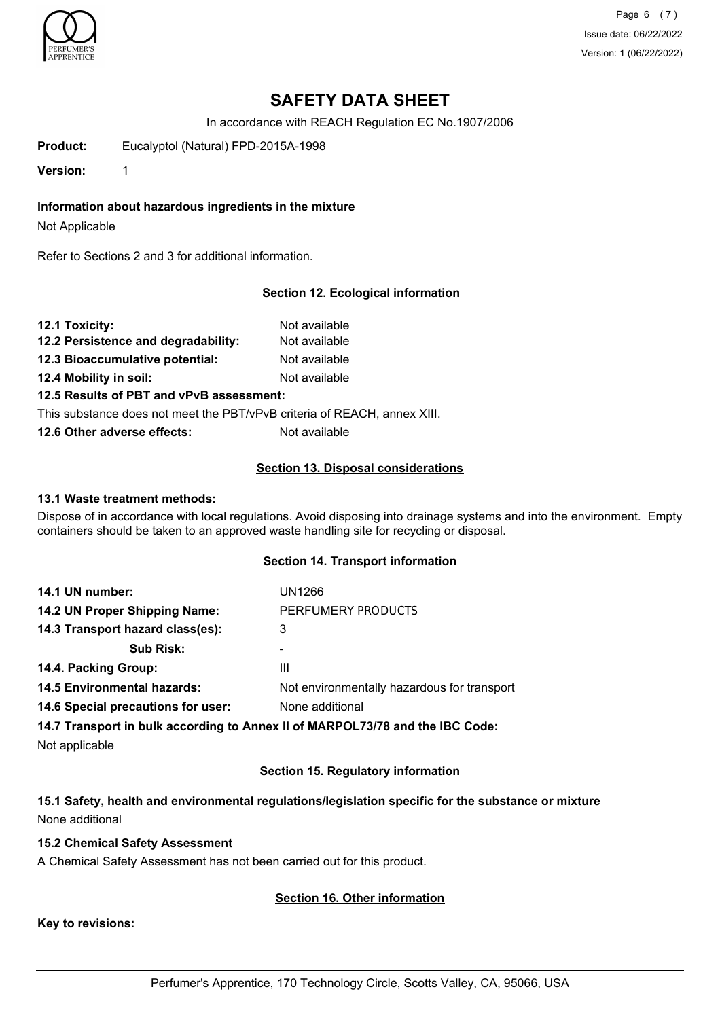

Page 6 (7) Issue date: 06/22/2022 Version: 1 (06/22/2022)

# **SAFETY DATA SHEET**

In accordance with REACH Regulation EC No.1907/2006

**Product:** Eucalyptol (Natural) FPD-2015A-1998

**Version:** 1

## **Information about hazardous ingredients in the mixture**

Not Applicable

Refer to Sections 2 and 3 for additional information.

#### **Section 12. Ecological information**

| 12.1 Toxicity:                                                           | Not available |
|--------------------------------------------------------------------------|---------------|
| 12.2 Persistence and degradability:                                      | Not available |
| 12.3 Bioaccumulative potential:                                          | Not available |
| 12.4 Mobility in soil:                                                   | Not available |
| 12.5 Results of PBT and vPvB assessment:                                 |               |
| This substance does not meet the PBT/vPvB criteria of REACH, annex XIII. |               |

**12.6 Other adverse effects:** Not available

#### **Section 13. Disposal considerations**

#### **13.1 Waste treatment methods:**

Dispose of in accordance with local regulations. Avoid disposing into drainage systems and into the environment. Empty containers should be taken to an approved waste handling site for recycling or disposal.

## **Section 14. Transport information**

| 14.1 UN number:                    | UN1266                                      |
|------------------------------------|---------------------------------------------|
| 14.2 UN Proper Shipping Name:      | PERFUMERY PRODUCTS                          |
| 14.3 Transport hazard class(es):   | 3                                           |
| <b>Sub Risk:</b>                   | ۰                                           |
| 14.4. Packing Group:               | Ш                                           |
| <b>14.5 Environmental hazards:</b> | Not environmentally hazardous for transport |
| 14.6 Special precautions for user: | None additional                             |
|                                    |                                             |

**14.7 Transport in bulk according to Annex II of MARPOL73/78 and the IBC Code:**

Not applicable

## **Section 15. Regulatory information**

**15.1 Safety, health and environmental regulations/legislation specific for the substance or mixture** None additional

## **15.2 Chemical Safety Assessment**

A Chemical Safety Assessment has not been carried out for this product.

#### **Section 16. Other information**

**Key to revisions:**